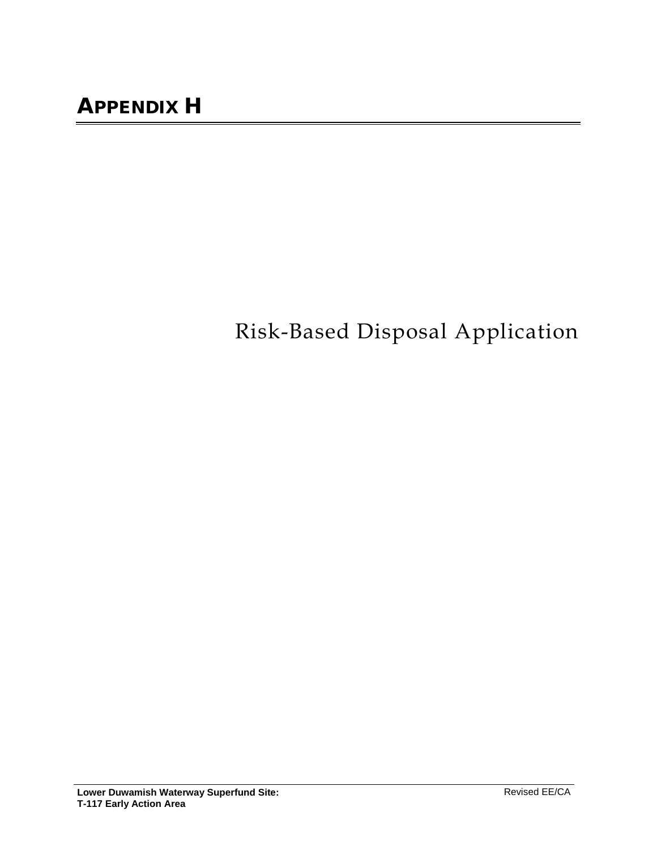## Risk-Based Disposal Application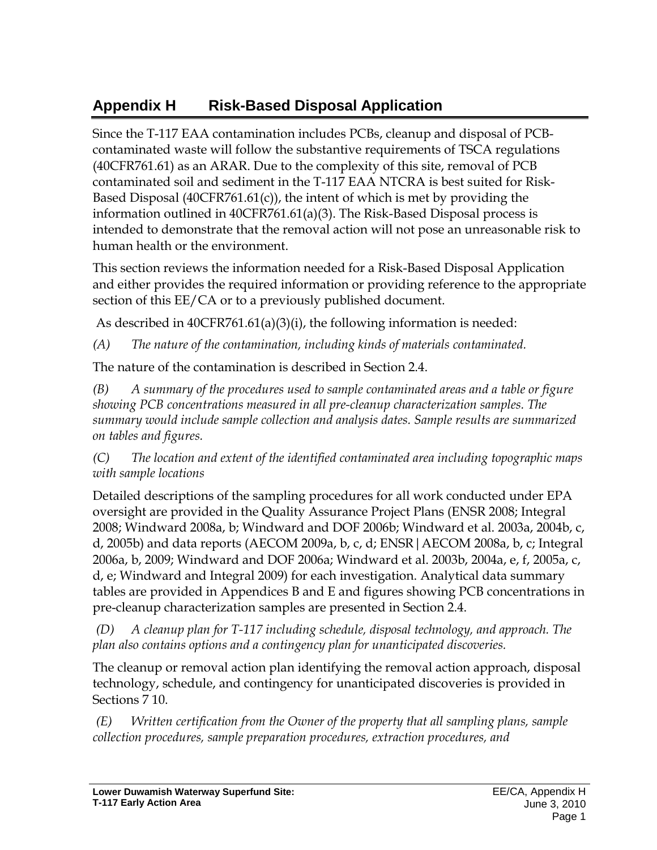## **Appendix H Risk-Based Disposal Application**

Since the T-117 EAA contamination includes PCBs, cleanup and disposal of PCBcontaminated waste will follow the substantive requirements of TSCA regulations (40CFR761.61) as an ARAR. Due to the complexity of this site, removal of PCB contaminated soil and sediment in the T-117 EAA NTCRA is best suited for Risk-Based Disposal (40CFR761.61(c)), the intent of which is met by providing the information outlined in 40CFR761.61(a)(3). The Risk-Based Disposal process is intended to demonstrate that the removal action will not pose an unreasonable risk to human health or the environment.

This section reviews the information needed for a Risk-Based Disposal Application and either provides the required information or providing reference to the appropriate section of this EE/CA or to a previously published document.

As described in 40CFR761.61(a)(3)(i), the following information is needed:

*(A) The nature of the contamination, including kinds of materials contaminated.*

The nature of the contamination is described in Section 2.4.

*(B) A summary of the procedures used to sample contaminated areas and a table or figure showing PCB concentrations measured in all pre-cleanup characterization samples. The summary would include sample collection and analysis dates. Sample results are summarized on tables and figures.*

*(C) The location and extent of the identified contaminated area including topographic maps with sample locations*

Detailed descriptions of the sampling procedures for all work conducted under EPA oversight are provided in the Quality Assurance Project Plans (ENSR 2008; Integral 2008; Windward 2008a, b; Windward and DOF 2006b; Windward et al. 2003a, 2004b, c, d, 2005b) and data reports (AECOM 2009a, b, c, d; ENSR|AECOM 2008a, b, c; Integral 2006a, b, 2009; Windward and DOF 2006a; Windward et al. 2003b, 2004a, e, f, 2005a, c, d, e; Windward and Integral 2009) for each investigation. Analytical data summary tables are provided in Appendices B and E and figures showing PCB concentrations in pre-cleanup characterization samples are presented in Section 2.4.

*(D) A cleanup plan for T-117 including schedule, disposal technology, and approach. The plan also contains options and a contingency plan for unanticipated discoveries.* 

The cleanup or removal action plan identifying the removal action approach, disposal technology, schedule, and contingency for unanticipated discoveries is provided in Sections 7 10.

*(E) Written certification from the Owner of the property that all sampling plans, sample collection procedures, sample preparation procedures, extraction procedures, and*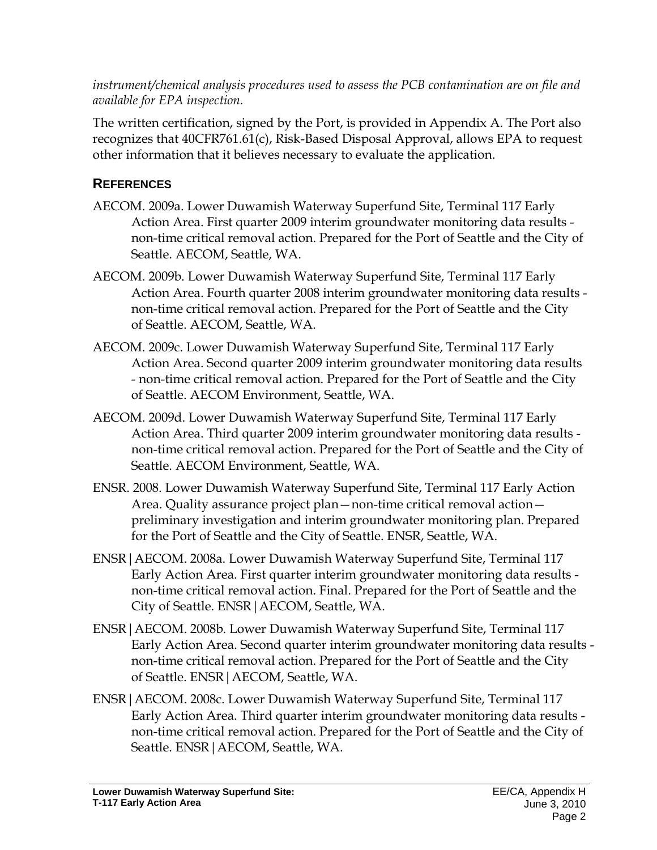*instrument/chemical analysis procedures used to assess the PCB contamination are on file and available for EPA inspection.*

The written certification, signed by the Port, is provided in Appendix A. The Port also recognizes that 40CFR761.61(c), Risk-Based Disposal Approval, allows EPA to request other information that it believes necessary to evaluate the application.

## **REFERENCES**

- AECOM. 2009a. Lower Duwamish Waterway Superfund Site, Terminal 117 Early Action Area. First quarter 2009 interim groundwater monitoring data results non-time critical removal action. Prepared for the Port of Seattle and the City of Seattle. AECOM, Seattle, WA.
- AECOM. 2009b. Lower Duwamish Waterway Superfund Site, Terminal 117 Early Action Area. Fourth quarter 2008 interim groundwater monitoring data results non-time critical removal action. Prepared for the Port of Seattle and the City of Seattle. AECOM, Seattle, WA.
- AECOM. 2009c. Lower Duwamish Waterway Superfund Site, Terminal 117 Early Action Area. Second quarter 2009 interim groundwater monitoring data results - non-time critical removal action. Prepared for the Port of Seattle and the City of Seattle. AECOM Environment, Seattle, WA.
- AECOM. 2009d. Lower Duwamish Waterway Superfund Site, Terminal 117 Early Action Area. Third quarter 2009 interim groundwater monitoring data results non-time critical removal action. Prepared for the Port of Seattle and the City of Seattle. AECOM Environment, Seattle, WA.
- ENSR. 2008. Lower Duwamish Waterway Superfund Site, Terminal 117 Early Action Area. Quality assurance project plan—non-time critical removal action preliminary investigation and interim groundwater monitoring plan. Prepared for the Port of Seattle and the City of Seattle. ENSR, Seattle, WA.
- ENSR|AECOM. 2008a. Lower Duwamish Waterway Superfund Site, Terminal 117 Early Action Area. First quarter interim groundwater monitoring data results non-time critical removal action. Final. Prepared for the Port of Seattle and the City of Seattle. ENSR|AECOM, Seattle, WA.
- ENSR|AECOM. 2008b. Lower Duwamish Waterway Superfund Site, Terminal 117 Early Action Area. Second quarter interim groundwater monitoring data results non-time critical removal action. Prepared for the Port of Seattle and the City of Seattle. ENSR|AECOM, Seattle, WA.
- ENSR|AECOM. 2008c. Lower Duwamish Waterway Superfund Site, Terminal 117 Early Action Area. Third quarter interim groundwater monitoring data results non-time critical removal action. Prepared for the Port of Seattle and the City of Seattle. ENSR|AECOM, Seattle, WA.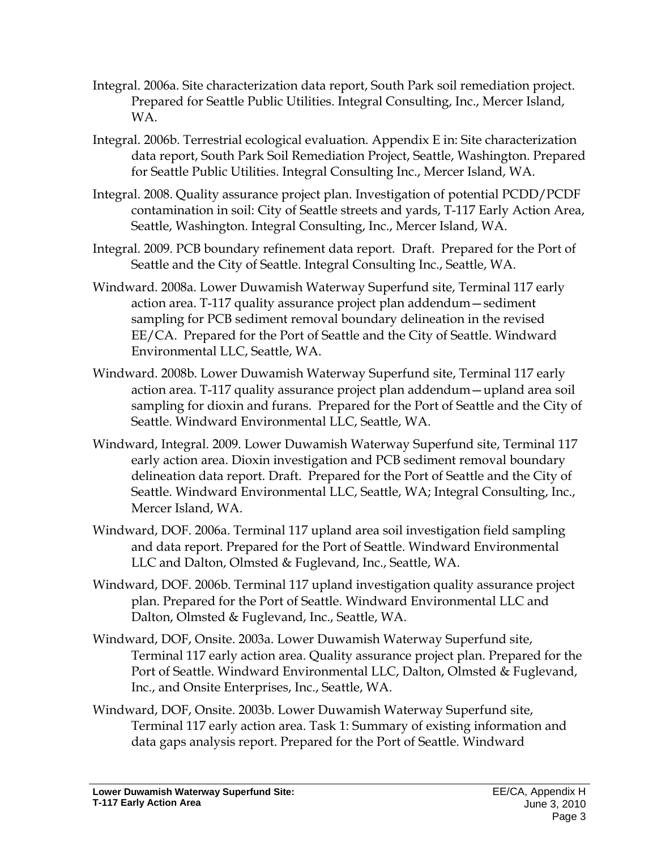- Integral. 2006a. Site characterization data report, South Park soil remediation project. Prepared for Seattle Public Utilities. Integral Consulting, Inc., Mercer Island, WA.
- Integral. 2006b. Terrestrial ecological evaluation. Appendix E in: Site characterization data report, South Park Soil Remediation Project, Seattle, Washington. Prepared for Seattle Public Utilities. Integral Consulting Inc., Mercer Island, WA.
- Integral. 2008. Quality assurance project plan. Investigation of potential PCDD/PCDF contamination in soil: City of Seattle streets and yards, T-117 Early Action Area, Seattle, Washington. Integral Consulting, Inc., Mercer Island, WA.
- Integral. 2009. PCB boundary refinement data report. Draft. Prepared for the Port of Seattle and the City of Seattle. Integral Consulting Inc., Seattle, WA.
- Windward. 2008a. Lower Duwamish Waterway Superfund site, Terminal 117 early action area. T-117 quality assurance project plan addendum—sediment sampling for PCB sediment removal boundary delineation in the revised EE/CA. Prepared for the Port of Seattle and the City of Seattle. Windward Environmental LLC, Seattle, WA.
- Windward. 2008b. Lower Duwamish Waterway Superfund site, Terminal 117 early action area. T-117 quality assurance project plan addendum—upland area soil sampling for dioxin and furans. Prepared for the Port of Seattle and the City of Seattle. Windward Environmental LLC, Seattle, WA.
- Windward, Integral. 2009. Lower Duwamish Waterway Superfund site, Terminal 117 early action area. Dioxin investigation and PCB sediment removal boundary delineation data report. Draft. Prepared for the Port of Seattle and the City of Seattle. Windward Environmental LLC, Seattle, WA; Integral Consulting, Inc., Mercer Island, WA.
- Windward, DOF. 2006a. Terminal 117 upland area soil investigation field sampling and data report. Prepared for the Port of Seattle. Windward Environmental LLC and Dalton, Olmsted & Fuglevand, Inc., Seattle, WA.
- Windward, DOF. 2006b. Terminal 117 upland investigation quality assurance project plan. Prepared for the Port of Seattle. Windward Environmental LLC and Dalton, Olmsted & Fuglevand, Inc., Seattle, WA.
- Windward, DOF, Onsite. 2003a. Lower Duwamish Waterway Superfund site, Terminal 117 early action area. Quality assurance project plan. Prepared for the Port of Seattle. Windward Environmental LLC, Dalton, Olmsted & Fuglevand, Inc., and Onsite Enterprises, Inc., Seattle, WA.
- Windward, DOF, Onsite. 2003b. Lower Duwamish Waterway Superfund site, Terminal 117 early action area. Task 1: Summary of existing information and data gaps analysis report. Prepared for the Port of Seattle. Windward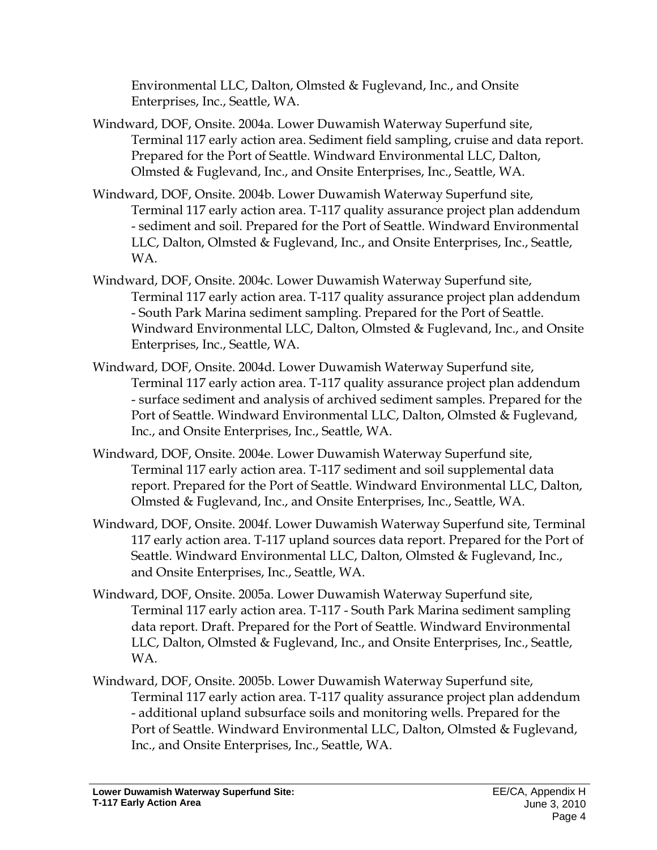Environmental LLC, Dalton, Olmsted & Fuglevand, Inc., and Onsite Enterprises, Inc., Seattle, WA.

- Windward, DOF, Onsite. 2004a. Lower Duwamish Waterway Superfund site, Terminal 117 early action area. Sediment field sampling, cruise and data report. Prepared for the Port of Seattle. Windward Environmental LLC, Dalton, Olmsted & Fuglevand, Inc., and Onsite Enterprises, Inc., Seattle, WA.
- Windward, DOF, Onsite. 2004b. Lower Duwamish Waterway Superfund site, Terminal 117 early action area. T-117 quality assurance project plan addendum - sediment and soil. Prepared for the Port of Seattle. Windward Environmental LLC, Dalton, Olmsted & Fuglevand, Inc., and Onsite Enterprises, Inc., Seattle, WA.
- Windward, DOF, Onsite. 2004c. Lower Duwamish Waterway Superfund site, Terminal 117 early action area. T-117 quality assurance project plan addendum - South Park Marina sediment sampling. Prepared for the Port of Seattle. Windward Environmental LLC, Dalton, Olmsted & Fuglevand, Inc., and Onsite Enterprises, Inc., Seattle, WA.
- Windward, DOF, Onsite. 2004d. Lower Duwamish Waterway Superfund site, Terminal 117 early action area. T-117 quality assurance project plan addendum - surface sediment and analysis of archived sediment samples. Prepared for the Port of Seattle. Windward Environmental LLC, Dalton, Olmsted & Fuglevand, Inc., and Onsite Enterprises, Inc., Seattle, WA.
- Windward, DOF, Onsite. 2004e. Lower Duwamish Waterway Superfund site, Terminal 117 early action area. T-117 sediment and soil supplemental data report. Prepared for the Port of Seattle. Windward Environmental LLC, Dalton, Olmsted & Fuglevand, Inc., and Onsite Enterprises, Inc., Seattle, WA.
- Windward, DOF, Onsite. 2004f. Lower Duwamish Waterway Superfund site, Terminal 117 early action area. T-117 upland sources data report. Prepared for the Port of Seattle. Windward Environmental LLC, Dalton, Olmsted & Fuglevand, Inc., and Onsite Enterprises, Inc., Seattle, WA.
- Windward, DOF, Onsite. 2005a. Lower Duwamish Waterway Superfund site, Terminal 117 early action area. T-117 - South Park Marina sediment sampling data report. Draft. Prepared for the Port of Seattle. Windward Environmental LLC, Dalton, Olmsted & Fuglevand, Inc., and Onsite Enterprises, Inc., Seattle, WA.
- Windward, DOF, Onsite. 2005b. Lower Duwamish Waterway Superfund site, Terminal 117 early action area. T-117 quality assurance project plan addendum - additional upland subsurface soils and monitoring wells. Prepared for the Port of Seattle. Windward Environmental LLC, Dalton, Olmsted & Fuglevand, Inc., and Onsite Enterprises, Inc., Seattle, WA.